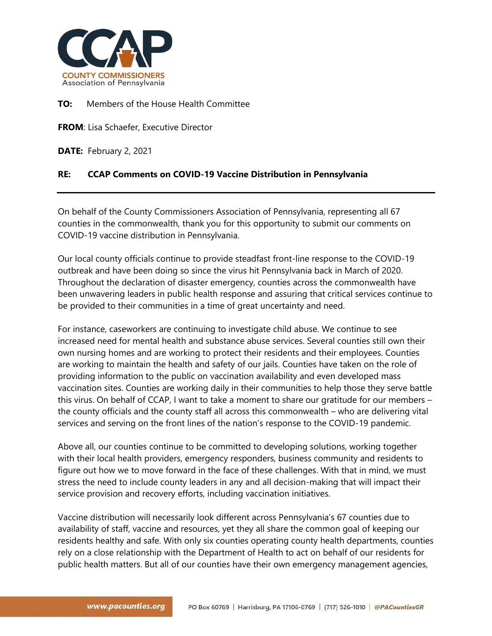

## **TO:** Members of the House Health Committee

**FROM**: Lisa Schaefer, Executive Director

**DATE:** February 2, 2021

## **RE: CCAP Comments on COVID-19 Vaccine Distribution in Pennsylvania**

On behalf of the County Commissioners Association of Pennsylvania, representing all 67 counties in the commonwealth, thank you for this opportunity to submit our comments on COVID-19 vaccine distribution in Pennsylvania.

Our local county officials continue to provide steadfast front-line response to the COVID-19 outbreak and have been doing so since the virus hit Pennsylvania back in March of 2020. Throughout the declaration of disaster emergency, counties across the commonwealth have been unwavering leaders in public health response and assuring that critical services continue to be provided to their communities in a time of great uncertainty and need.

For instance, caseworkers are continuing to investigate child abuse. We continue to see increased need for mental health and substance abuse services. Several counties still own their own nursing homes and are working to protect their residents and their employees. Counties are working to maintain the health and safety of our jails. Counties have taken on the role of providing information to the public on vaccination availability and even developed mass vaccination sites. Counties are working daily in their communities to help those they serve battle this virus. On behalf of CCAP, I want to take a moment to share our gratitude for our members – the county officials and the county staff all across this commonwealth – who are delivering vital services and serving on the front lines of the nation's response to the COVID-19 pandemic.

Above all, our counties continue to be committed to developing solutions, working together with their local health providers, emergency responders, business community and residents to figure out how we to move forward in the face of these challenges. With that in mind, we must stress the need to include county leaders in any and all decision-making that will impact their service provision and recovery efforts, including vaccination initiatives.

Vaccine distribution will necessarily look different across Pennsylvania's 67 counties due to availability of staff, vaccine and resources, yet they all share the common goal of keeping our residents healthy and safe. With only six counties operating county health departments, counties rely on a close relationship with the Department of Health to act on behalf of our residents for public health matters. But all of our counties have their own emergency management agencies,